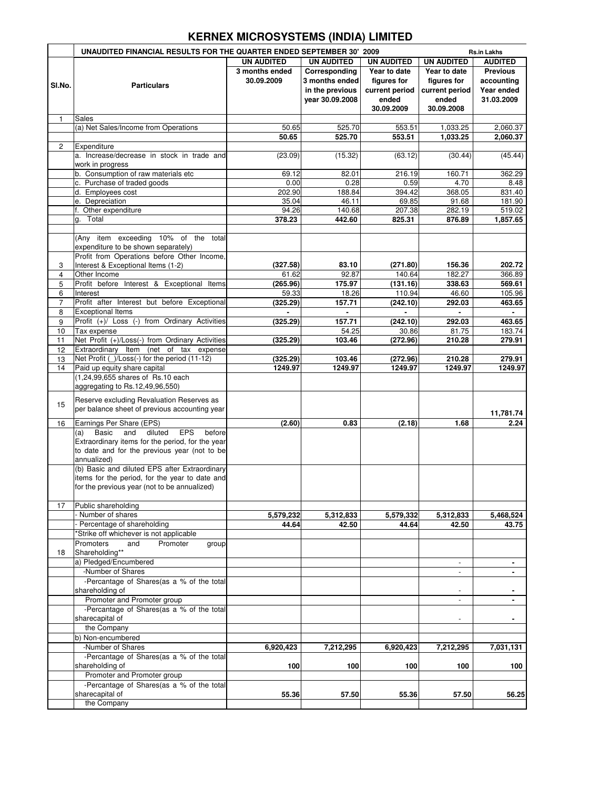## **KERNEX MICROSYSTEMS (INDIA) LIMITED**

|                | UNAUDITED FINANCIAL RESULTS FOR THE QUARTER ENDED SEPTEMBER 30' 2009<br><b>Rs.in Lakhs</b>     |                   |                   |                   |                          |                      |
|----------------|------------------------------------------------------------------------------------------------|-------------------|-------------------|-------------------|--------------------------|----------------------|
|                |                                                                                                | <b>UN AUDITED</b> | <b>UN AUDITED</b> | <b>UN AUDITED</b> | <b>UN AUDITED</b>        | <b>AUDITED</b>       |
|                |                                                                                                | 3 months ended    | Corresponding     | Year to date      | Year to date             | <b>Previous</b>      |
| SI.No.         | <b>Particulars</b>                                                                             | 30.09.2009        | 3 months ended    | figures for       | figures for              | accounting           |
|                |                                                                                                |                   | in the previous   | current period    | current period           | Year ended           |
|                |                                                                                                |                   | year 30.09.2008   | ended             | ended                    | 31.03.2009           |
|                |                                                                                                |                   |                   | 30.09.2009        | 30.09.2008               |                      |
| 1              | Sales                                                                                          |                   |                   |                   |                          |                      |
|                | (a) Net Sales/Income from Operations                                                           | 50.65<br>50.65    | 525.70<br>525.70  | 553.51<br>553.51  | 1,033.25<br>1,033.25     | 2,060.37<br>2,060.37 |
| $\mathbf{2}$   | Expenditure                                                                                    |                   |                   |                   |                          |                      |
|                | a. Increase/decrease in stock in trade and                                                     | (23.09)           | (15.32)           | (63.12)           | (30.44)                  | (45.44)              |
|                | work in progress                                                                               |                   |                   |                   |                          |                      |
|                | b. Consumption of raw materials etc                                                            | 69.12             | 82.01             | 216.19            | 160.71                   | 362.29               |
|                | c. Purchase of traded goods                                                                    | 0.00              | 0.28              | 0.59              | 4.70                     | 8.48                 |
|                | d. Employees cost                                                                              | 202.90            | 188.84            | 394.42            | 368.05                   | 831.40               |
|                | e. Depreciation                                                                                | 35.04             | 46.11             | 69.85             | 91.68                    | 181.90               |
|                | Other expenditure<br>f.                                                                        | 94.26             | 140.68            | 207.38            | 282.19                   | 519.02               |
|                | Total<br>g.                                                                                    | 378.23            | 442.60            | 825.31            | 876.89                   | 1,857.65             |
|                | (Any item exceeding 10% of the total                                                           |                   |                   |                   |                          |                      |
|                | expenditure to be shown separately)                                                            |                   |                   |                   |                          |                      |
|                | Profit from Operations before Other Income,                                                    |                   |                   |                   |                          |                      |
| 3              | Interest & Exceptional Items (1-2)                                                             | (327.58)          | 83.10             | (271.80)          | 156.36                   | 202.72               |
| 4              | Other Income                                                                                   | 61.62             | 92.87             | 140.64            | 182.27                   | 366.89               |
| 5              | Profit before Interest & Exceptional Items                                                     | (265.96)          | 175.97            | (131.16)          | 338.63                   | 569.61               |
| 6              | Interest                                                                                       | 59.33             | 18.26             | 110.94            | 46.60                    | 105.96               |
| $\overline{7}$ | Profit after Interest but before Exceptional                                                   | (325.29)          | 157.71            | (242.10)          | 292.03                   | 463.65               |
| 8              | <b>Exceptional Items</b>                                                                       |                   |                   |                   |                          |                      |
| 9              | Profit (+)/ Loss (-) from Ordinary Activities                                                  | (325.29)          | 157.71            | (242.10)          | 292.03                   | 463.65               |
| 10             | Tax expense                                                                                    |                   | 54.25             | 30.86             | 81.75                    | 183.74               |
| 11             | Net Profit (+)/Loss(-) from Ordinary Activities                                                | (325.29)          | 103.46            | (272.96)          | 210.28                   | 279.91               |
| 12             | Extraordinary Item<br>(net of tax expense                                                      |                   |                   |                   |                          |                      |
| 13             | Net Profit (_)/Loss(-) for the period (11-12)                                                  | (325.29)          | 103.46            | (272.96)          | 210.28                   | 279.91               |
| 14             | Paid up equity share capital<br>(1,24,99,655 shares of Rs.10 each                              | 1249.97           | 1249.97           | 1249.97           | 1249.97                  | 1249.97              |
|                | aggregating to Rs.12,49,96,550)                                                                |                   |                   |                   |                          |                      |
|                |                                                                                                |                   |                   |                   |                          |                      |
| 15             | Reserve excluding Revaluation Reserves as                                                      |                   |                   |                   |                          |                      |
|                | per balance sheet of previous accounting year                                                  |                   |                   |                   |                          | 11,781.74            |
| 16             | Earnings Per Share (EPS)                                                                       | (2.60)            | 0.83              | (2.18)            | 1.68                     | 2.24                 |
|                | <b>EPS</b><br>Basic and<br>diluted<br>before<br>(a)                                            |                   |                   |                   |                          |                      |
|                | Extraordinary items for the period, for the year                                               |                   |                   |                   |                          |                      |
|                | to date and for the previous year (not to be                                                   |                   |                   |                   |                          |                      |
|                | annualized)                                                                                    |                   |                   |                   |                          |                      |
|                | (b) Basic and diluted EPS after Extraordinary                                                  |                   |                   |                   |                          |                      |
|                | items for the period, for the year to date and<br>for the previous year (not to be annualized) |                   |                   |                   |                          |                      |
|                |                                                                                                |                   |                   |                   |                          |                      |
| 17             | Public shareholding                                                                            |                   |                   |                   |                          |                      |
|                | Number of shares                                                                               | 5,579,232         | 5,312,833         | 5,579,332         | 5,312,833                | 5,468,524            |
|                | Percentage of shareholding                                                                     | 44.64             | 42.50             | 44.64             | 42.50                    | 43.75                |
|                | 'Strike off whichever is not applicable                                                        |                   |                   |                   |                          |                      |
|                | Promoter<br>Promoters<br>and<br>group                                                          |                   |                   |                   |                          |                      |
| 18             | Shareholding**                                                                                 |                   |                   |                   |                          |                      |
|                | a) Pledged/Encumbered                                                                          |                   |                   |                   | $\overline{\phantom{a}}$ | ٠                    |
|                | -Number of Shares                                                                              |                   |                   |                   |                          |                      |
|                | -Percantage of Shares(as a % of the total                                                      |                   |                   |                   |                          |                      |
|                | shareholding of                                                                                |                   |                   |                   | ٠                        |                      |
|                | Promoter and Promoter group<br>-Percantage of Shares(as a % of the total                       |                   |                   |                   | $\overline{a}$           |                      |
|                | sharecapital of                                                                                |                   |                   |                   | $\overline{\phantom{a}}$ |                      |
|                | the Company                                                                                    |                   |                   |                   |                          |                      |
|                | b) Non-encumbered                                                                              |                   |                   |                   |                          |                      |
|                | -Number of Shares                                                                              | 6,920,423         | 7,212,295         | 6,920,423         | 7,212,295                | 7,031,131            |
|                | -Percantage of Shares(as a % of the total                                                      |                   |                   |                   |                          |                      |
|                | shareholding of                                                                                | 100               | 100               | 100               | 100                      | 100                  |
|                | Promoter and Promoter group                                                                    |                   |                   |                   |                          |                      |
|                | -Percantage of Shares(as a % of the total                                                      |                   |                   |                   |                          |                      |
|                | sharecapital of                                                                                | 55.36             | 57.50             | 55.36             | 57.50                    | 56.25                |
|                | the Company                                                                                    |                   |                   |                   |                          |                      |